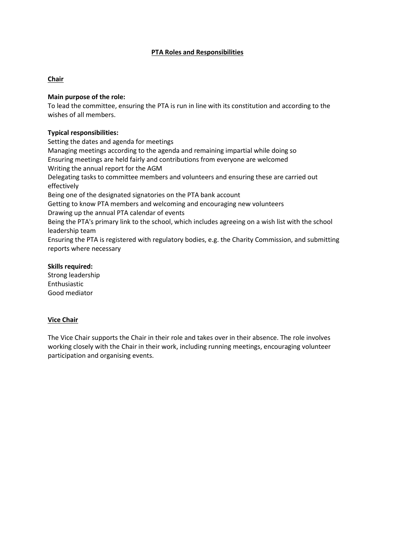## **PTA Roles and Responsibilities**

## **Chair**

## **Main purpose of the role:**

To lead the committee, ensuring the PTA is run in line with its constitution and according to the wishes of all members.

## **Typical responsibilities:**

Setting the dates and agenda for meetings Managing meetings according to the agenda and remaining impartial while doing so Ensuring meetings are held fairly and contributions from everyone are welcomed Writing the annual report for the AGM Delegating tasks to committee members and volunteers and ensuring these are carried out effectively Being one of the designated signatories on the PTA bank account Getting to know PTA members and welcoming and encouraging new volunteers Drawing up the annual PTA calendar of events Being the PTA's primary link to the school, which includes agreeing on a wish list with the school leadership team Ensuring the PTA is registered with regulatory bodies, e.g. the Charity Commission, and submitting reports where necessary

## **Skills required:**

Strong leadership Enthusiastic Good mediator

### **Vice Chair**

The Vice Chair supports the Chair in their role and takes over in their absence. The role involves working closely with the Chair in their work, including running meetings, encouraging volunteer participation and organising events.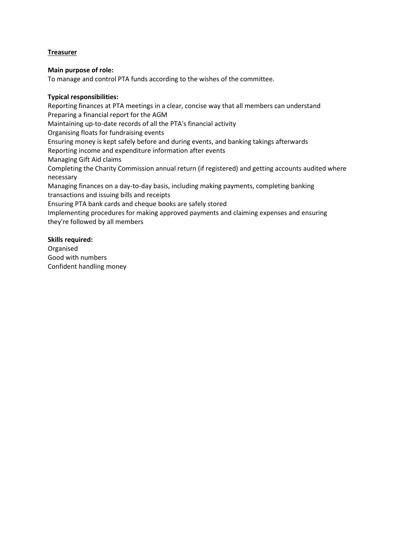# **Treasurer**

## **Main purpose of role:**

To manage and control PTA funds according to the wishes of the committee.

## **Typical responsibilities:**

Reporting finances at PTA meetings in a clear, concise way that all members can understand Preparing a financial report for the AGM Maintaining up-to-date records of all the PTA's financial activity Organising floats for fundraising events Ensuring money is kept safely before and during events, and banking takings afterwards Reporting income and expenditure information after events Managing Gift Aid claims Completing the Charity Commission annual return (if registered) and getting accounts audited where necessary Managing finances on a day-to-day basis, including making payments, completing banking transactions and issuing bills and receipts Ensuring PTA bank cards and cheque books are safely stored Implementing procedures for making approved payments and claiming expenses and ensuring they're followed by all members

## **Skills required:**

Organised Good with numbers Confident handling money